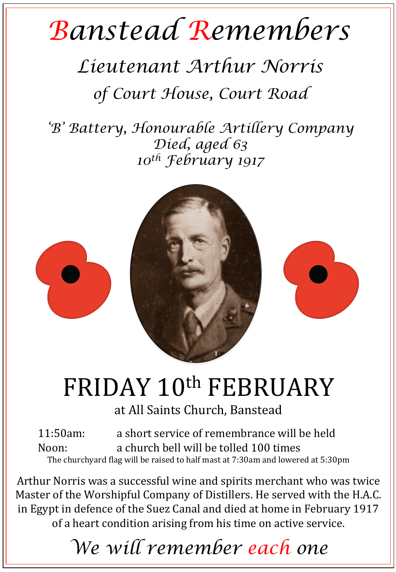## *Banstead Remembers*

## *Lieutenant Arthur Norris*

*of Court House, Court Road* 

*'B' Battery, Honourable Artillery Company Died, aged 63 10th February 1917* 



## FRIDAY 10th FEBRUARY

at All Saints Church, Banstead

11:50am: a short service of remembrance will be held Noon: a church bell will be tolled 100 times The churchyard flag will be raised to half mast at 7:30am and lowered at 5:30pm

Arthur Norris was a successful wine and spirits merchant who was twice Master of the Worshipful Company of Distillers. He served with the H.A.C. in Egypt in defence of the Suez Canal and died at home in February 1917 of a heart condition arising from his time on active service.

*We will remember each one*